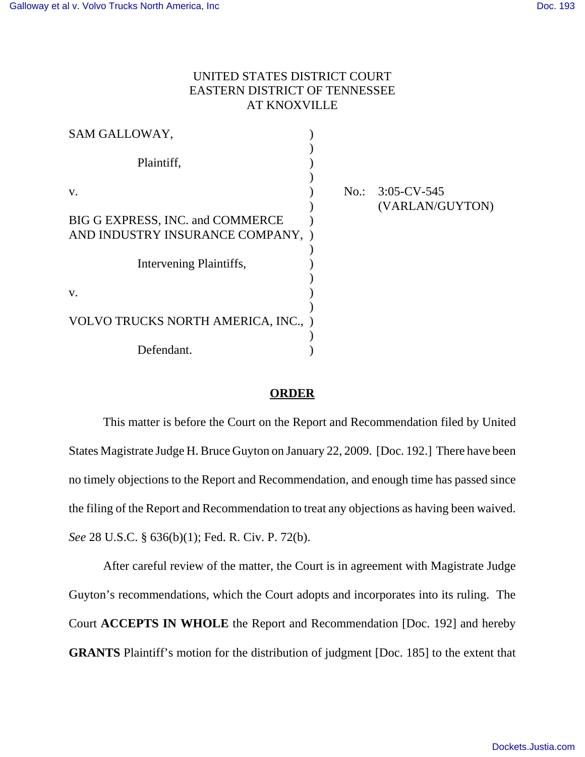## UNITED STATES DISTRICT COURT EASTERN DISTRICT OF TENNESSEE AT KNOXVILLE

| SAM GALLOWAY,                       |  |                                        |
|-------------------------------------|--|----------------------------------------|
| Plaintiff,                          |  |                                        |
| V.                                  |  | No.: $3:05$ -CV-545<br>(VARLAN/GUYTON) |
| BIG G EXPRESS, INC. and COMMERCE    |  |                                        |
| AND INDUSTRY INSURANCE COMPANY, )   |  |                                        |
| Intervening Plaintiffs,             |  |                                        |
| V.                                  |  |                                        |
| VOLVO TRUCKS NORTH AMERICA, INC., ) |  |                                        |
| Defendant.                          |  |                                        |

## **ORDER**

This matter is before the Court on the Report and Recommendation filed by United States Magistrate Judge H. Bruce Guyton on January 22, 2009. [Doc. 192.] There have been no timely objections to the Report and Recommendation, and enough time has passed since the filing of the Report and Recommendation to treat any objections as having been waived. *See* 28 U.S.C. § 636(b)(1); Fed. R. Civ. P. 72(b).

After careful review of the matter, the Court is in agreement with Magistrate Judge Guyton's recommendations, which the Court adopts and incorporates into its ruling. The Court **ACCEPTS IN WHOLE** the Report and Recommendation [Doc. 192] and hereby **GRANTS** Plaintiff's motion for the distribution of judgment [Doc. 185] to the extent that